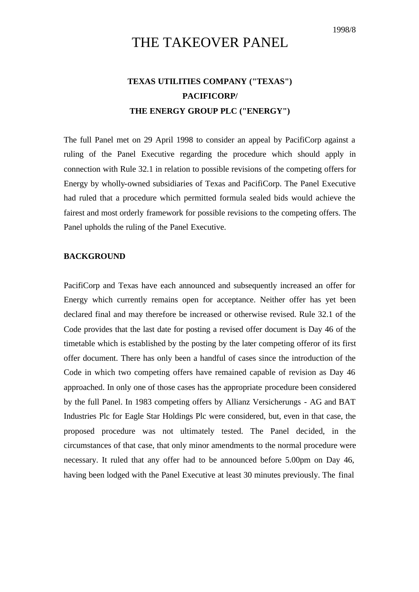## THE TAKEOVER PANEL

## **TEXAS UTILITIES COMPANY ("TEXAS") PACIFICORP/ THE ENERGY GROUP PLC ("ENERGY")**

The full Panel met on 29 April 1998 to consider an appeal by PacifiCorp against a ruling of the Panel Executive regarding the procedure which should apply in connection with Rule 32.1 in relation to possible revisions of the competing offers for Energy by wholly-owned subsidiaries of Texas and PacifiCorp. The Panel Executive had ruled that a procedure which permitted formula sealed bids would achieve the fairest and most orderly framework for possible revisions to the competing offers. The Panel upholds the ruling of the Panel Executive.

## **BACKGROUND**

PacifiCorp and Texas have each announced and subsequently increased an offer for Energy which currently remains open for acceptance. Neither offer has yet been declared final and may therefore be increased or otherwise revised. Rule 32.1 of the Code provides that the last date for posting a revised offer document is Day 46 of the timetable which is established by the posting by the later competing offeror of its first offer document. There has only been a handful of cases since the introduction of the Code in which two competing offers have remained capable of revision as Day 46 approached. In only one of those cases has the appropriate procedure been considered by the full Panel. In 1983 competing offers by Allianz Versicherungs - AG and BAT Industries Plc for Eagle Star Holdings Plc were considered, but, even in that case, the proposed procedure was not ultimately tested. The Panel decided, in the circumstances of that case, that only minor amendments to the normal procedure were necessary. It ruled that any offer had to be announced before 5.00pm on Day 46, having been lodged with the Panel Executive at least 30 minutes previously. The final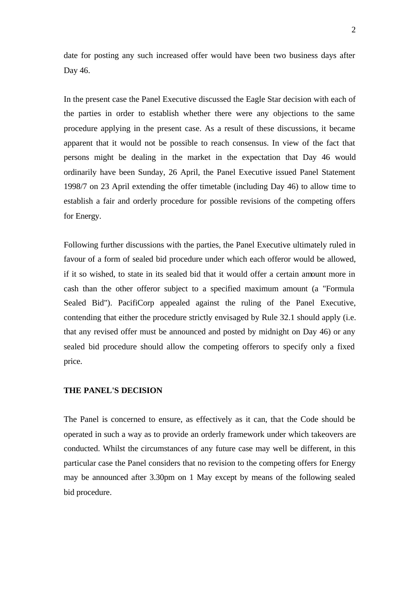date for posting any such increased offer would have been two business days after Day 46.

In the present case the Panel Executive discussed the Eagle Star decision with each of the parties in order to establish whether there were any objections to the same procedure applying in the present case. As a result of these discussions, it became apparent that it would not be possible to reach consensus. In view of the fact that persons might be dealing in the market in the expectation that Day 46 would ordinarily have been Sunday, 26 April, the Panel Executive issued Panel Statement 1998/7 on 23 April extending the offer timetable (including Day 46) to allow time to establish a fair and orderly procedure for possible revisions of the competing offers for Energy.

Following further discussions with the parties, the Panel Executive ultimately ruled in favour of a form of sealed bid procedure under which each offeror would be allowed, if it so wished, to state in its sealed bid that it would offer a certain amount more in cash than the other offeror subject to a specified maximum amount (a "Formula Sealed Bid"). PacifiCorp appealed against the ruling of the Panel Executive, contending that either the procedure strictly envisaged by Rule 32.1 should apply (i.e. that any revised offer must be announced and posted by midnight on Day 46) or any sealed bid procedure should allow the competing offerors to specify only a fixed price.

## **THE PANEL'S DECISION**

The Panel is concerned to ensure, as effectively as it can, that the Code should be operated in such a way as to provide an orderly framework under which takeovers are conducted. Whilst the circumstances of any future case may well be different, in this particular case the Panel considers that no revision to the competing offers for Energy may be announced after 3.30pm on 1 May except by means of the following sealed bid procedure.